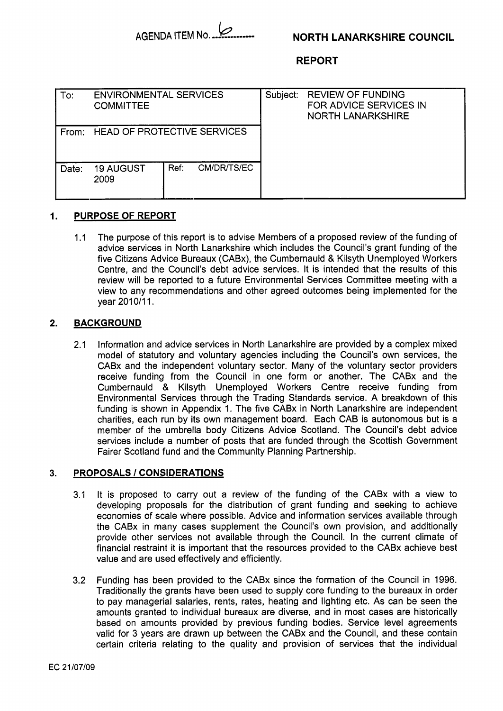

## **REPORT**

| To:   | <b>ENVIRONMENTAL SERVICES</b><br><b>COMMITTEE</b> |                                    | <b>REVIEW OF FUNDING</b><br>Subject:<br>FOR ADVICE SERVICES IN<br><b>NORTH LANARKSHIRE</b> |
|-------|---------------------------------------------------|------------------------------------|--------------------------------------------------------------------------------------------|
| From: |                                                   | <b>HEAD OF PROTECTIVE SERVICES</b> |                                                                                            |
| Date: | <b>19 AUGUST</b><br>2009                          | Ref:<br>CM/DR/TS/EC                |                                                                                            |

### **1. PURPOSE OF REPORT**

**1 .I** The purpose of this report is to advise Members of a proposed review of the funding of advice services in North Lanarkshire which includes the Council's grant funding of the five Citizens Advice Bureaux (CABx), the Cumbernauld & Kilsyth Unemployed Workers Centre, and the Council's debt advice services. It is intended that the results of this review will be reported to a future Environmental Services Committee meeting with a view to any recommendations and other agreed outcomes being implemented for the year **201 0/11.** 

## **2. BACKGROUND**

**2.1** Information and advice services in North Lanarkshire are provided by a complex mixed model of statutory and voluntary agencies including the Council's own services, the CABx and the independent voluntary sector. Many of the voluntary sector providers receive funding from the Council in one form or another. The CABx and the Cumbernauld & Kilsyth Unemployed Workers Centre receive funding from Environmental Services through the Trading Standards service. A breakdown of this funding is shown in Appendix **1.** The five CABx in North Lanarkshire are independent charities, each run by its own management board. Each CAB is autonomous but is a member of the umbrella body Citizens Advice Scotland. The Council's debt advice services include a number of posts that are funded through the Scottish Government Fairer Scotland fund and the Community Planning Partnership.

## **3. PROPOSALS** / **CONSIDERATIONS**

- **3.1** It is proposed to carry out a review of the funding of the CABx with a view to developing proposals for the distribution of grant funding and seeking to achieve economies of scale where possible. Advice and information services available through the CABx in many cases supplement the Council's own provision, and additionally provide other services not available through the Council. In the current climate of financial restraint it is important that the resources provided to the CABx achieve best value and are used effectively and efficiently.
- **3.2** Funding has been provided to the CABx since the formation of the Council in **1996.**  Traditionally the grants have been used to supply core funding to the bureaux in order to pay managerial salaries, rents, rates, heating and lighting etc. As can be seen the amounts granted to individual bureaux are diverse, and in most cases are historically based on amounts provided by previous funding bodies. Service level agreements valid for **3** years are drawn up between the CABx and the Council, and these contain certain criteria relating to the quality and provision of services that the individual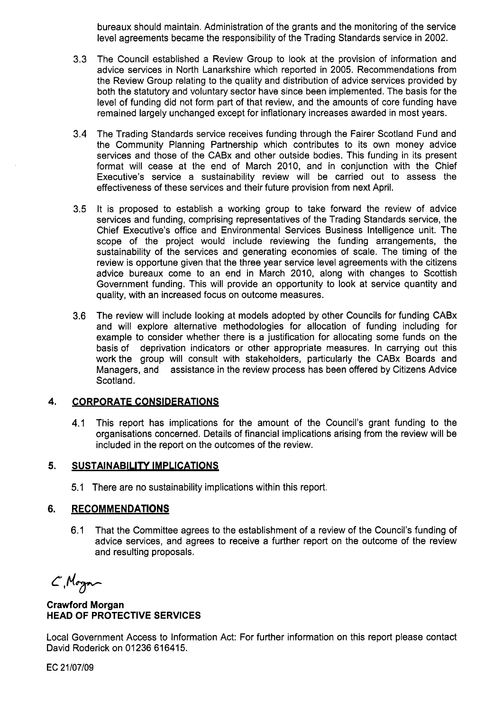bureaux should maintain. Administration of the grants and the monitoring of the service level agreements became the responsibility of the Trading Standards service in 2002.

- 3.3 The Council established a Review Group to look at the provision of information and advice services in North Lanarkshire which reported in 2005. Recommendations from the Review Group relating to the quality and distribution of advice services provided by both the statutory and voluntary sector have since been implemented. The basis for the level of funding did not form part of that review, and the amounts of core funding have remained largely unchanged except for inflationary increases awarded in most years.
- 3.4 The Trading Standards service receives funding through the Fairer Scotland Fund and the Community Planning Partnership which contributes to its own money advice services and those of the CABx and other outside bodies. This funding in its present format will cease at the end of March 2010, and in conjunction with the Chief Executive's service a sustainability review will be carried out to assess the effectiveness of these services and their future provision from next April.
- 3.5 It is proposed to establish a working group to take forward the review of advice services and funding, comprising representatives of the Trading Standards service, the Chief Executive's office and Environmental Services Business Intelligence unit. The scope of the project would include reviewing the funding arrangements, the sustainability of the services and generating economies of scale. The timing of the review is opportune given that the three year service level agreements with the citizens advice bureaux come to an end in March 2010, along with changes to Scottish Government funding. This will provide an opportunity to look at service quantity and quality, with an increased focus on outcome measures.
- 3.6 The review will include looking at models adopted by other Councils for funding CABx and will explore alternative methodologies for allocation of funding including for example to consider whether there is a justification for allocating some funds on the basis of deprivation indicators or other appropriate measures. In carrying out this work the group will consult with stakeholders, particularly the CABx Boards and Managers, and assistance in the review process has been offered by Citizens Advice Scotland.

#### **4. CORPORATE CONSIDERATIONS**

4.1 This report has implications for the amount of the Council's grant funding to the organisations concerned. Details of financial implications arising from the review will be included in the report on the outcomes of the review.

#### **5. SUSTAINABILITY IMPLICATIONS**

5.1 There are no sustainability implications within this report.

#### **6. RECOMMENDATIONS**

6.1 That the Committee agrees to the establishment of a review of the Council's funding of advice services, and agrees to receive a further report on the outcome of the review and resulting proposals.

C. Mogar

**Crawford Morgan HEAD OF PROTECTIVE SERVICES** 

Local Government Access to Information Act: For further information on this report please contact David Roderick on 01236 616415.

EC **21/07/09**